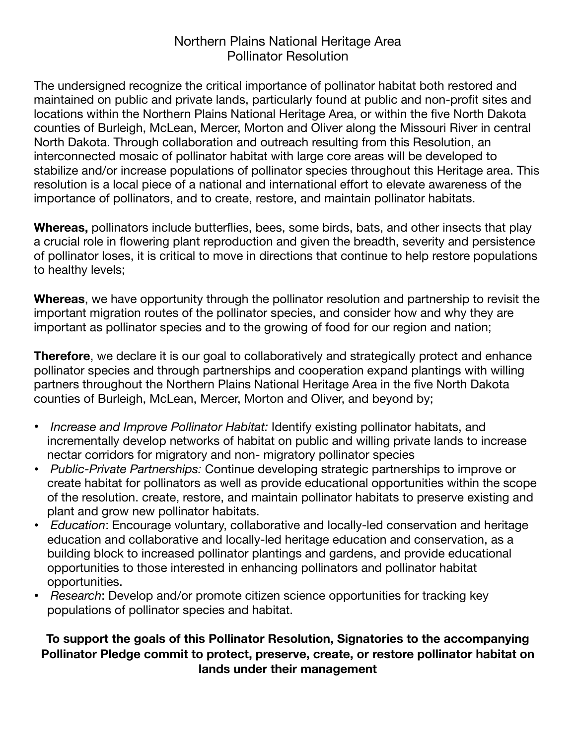## Northern Plains National Heritage Area Pollinator Resolution

The undersigned recognize the critical importance of pollinator habitat both restored and maintained on public and private lands, particularly found at public and non-profit sites and locations within the Northern Plains National Heritage Area, or within the five North Dakota counties of Burleigh, McLean, Mercer, Morton and Oliver along the Missouri River in central North Dakota. Through collaboration and outreach resulting from this Resolution, an interconnected mosaic of pollinator habitat with large core areas will be developed to stabilize and/or increase populations of pollinator species throughout this Heritage area. This resolution is a local piece of a national and international effort to elevate awareness of the importance of pollinators, and to create, restore, and maintain pollinator habitats.

**Whereas,** pollinators include butterflies, bees, some birds, bats, and other insects that play a crucial role in flowering plant reproduction and given the breadth, severity and persistence of pollinator loses, it is critical to move in directions that continue to help restore populations to healthy levels;

**Whereas**, we have opportunity through the pollinator resolution and partnership to revisit the important migration routes of the pollinator species, and consider how and why they are important as pollinator species and to the growing of food for our region and nation;

**Therefore**, we declare it is our goal to collaboratively and strategically protect and enhance pollinator species and through partnerships and cooperation expand plantings with willing partners throughout the Northern Plains National Heritage Area in the five North Dakota counties of Burleigh, McLean, Mercer, Morton and Oliver, and beyond by;

- *Increase and Improve Pollinator Habitat:* Identify existing pollinator habitats, and incrementally develop networks of habitat on public and willing private lands to increase nectar corridors for migratory and non- migratory pollinator species
- *Public-Private Partnerships:* Continue developing strategic partnerships to improve or create habitat for pollinators as well as provide educational opportunities within the scope of the resolution. create, restore, and maintain pollinator habitats to preserve existing and plant and grow new pollinator habitats.
- *Education*: Encourage voluntary, collaborative and locally-led conservation and heritage education and collaborative and locally-led heritage education and conservation, as a building block to increased pollinator plantings and gardens, and provide educational opportunities to those interested in enhancing pollinators and pollinator habitat opportunities.
- *Research*: Develop and/or promote citizen science opportunities for tracking key populations of pollinator species and habitat.

## **To support the goals of this Pollinator Resolution, Signatories to the accompanying Pollinator Pledge commit to protect, preserve, create, or restore pollinator habitat on lands under their management**